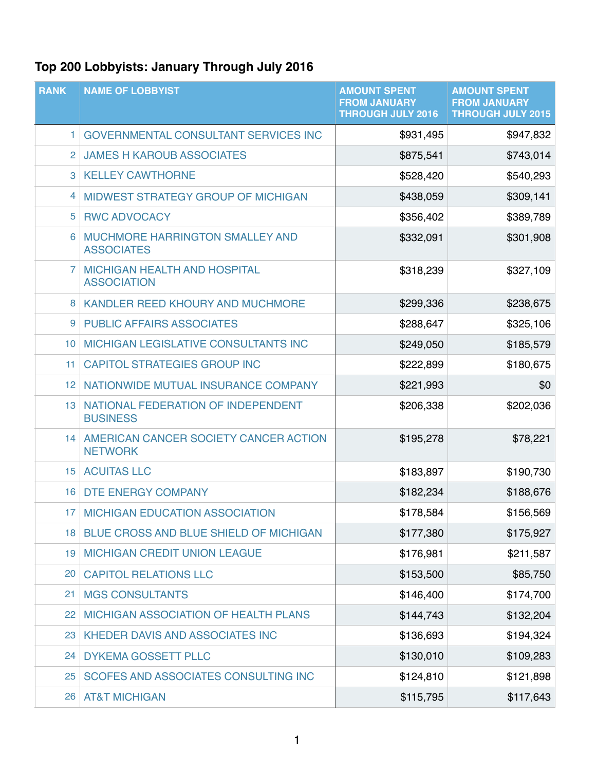## **Top 200 Lobbyists: January Through July 2016**

| <b>RANK</b>     | <b>NAME OF LOBBYIST</b>                                    | <b>AMOUNT SPENT</b><br><b>FROM JANUARY</b><br><b>THROUGH JULY 2016</b> | <b>AMOUNT SPENT</b><br><b>FROM JANUARY</b><br><b>THROUGH JULY 2015</b> |
|-----------------|------------------------------------------------------------|------------------------------------------------------------------------|------------------------------------------------------------------------|
| 1               | <b>GOVERNMENTAL CONSULTANT SERVICES INC</b>                | \$931,495                                                              | \$947,832                                                              |
| $\overline{2}$  | <b>JAMES H KAROUB ASSOCIATES</b>                           | \$875,541                                                              | \$743,014                                                              |
| 3               | <b>KELLEY CAWTHORNE</b>                                    | \$528,420                                                              | \$540,293                                                              |
| 4               | MIDWEST STRATEGY GROUP OF MICHIGAN                         | \$438,059                                                              | \$309,141                                                              |
| 5               | <b>RWC ADVOCACY</b>                                        | \$356,402                                                              | \$389,789                                                              |
| 6               | MUCHMORE HARRINGTON SMALLEY AND<br><b>ASSOCIATES</b>       | \$332,091                                                              | \$301,908                                                              |
| 7               | <b>MICHIGAN HEALTH AND HOSPITAL</b><br><b>ASSOCIATION</b>  | \$318,239                                                              | \$327,109                                                              |
| 8               | <b>KANDLER REED KHOURY AND MUCHMORE</b>                    | \$299,336                                                              | \$238,675                                                              |
| 9               | <b>PUBLIC AFFAIRS ASSOCIATES</b>                           | \$288,647                                                              | \$325,106                                                              |
| 10 <sup>°</sup> | MICHIGAN LEGISLATIVE CONSULTANTS INC                       | \$249,050                                                              | \$185,579                                                              |
| 11              | <b>CAPITOL STRATEGIES GROUP INC</b>                        | \$222,899                                                              | \$180,675                                                              |
| 12 <sub>1</sub> | NATIONWIDE MUTUAL INSURANCE COMPANY                        | \$221,993                                                              | \$0                                                                    |
|                 | 13   NATIONAL FEDERATION OF INDEPENDENT<br><b>BUSINESS</b> | \$206,338                                                              | \$202,036                                                              |
| 14 <sup>1</sup> | AMERICAN CANCER SOCIETY CANCER ACTION<br><b>NETWORK</b>    | \$195,278                                                              | \$78,221                                                               |
| 15              | <b>ACUITAS LLC</b>                                         | \$183,897                                                              | \$190,730                                                              |
| 16              | DTE ENERGY COMPANY                                         | \$182,234                                                              | \$188,676                                                              |
|                 | 17 MICHIGAN EDUCATION ASSOCIATION                          | \$178,584                                                              | \$156,569                                                              |
| 18              | BLUE CROSS AND BLUE SHIELD OF MICHIGAN                     | \$177,380                                                              | \$175,927                                                              |
| 19              | <b>MICHIGAN CREDIT UNION LEAGUE</b>                        | \$176,981                                                              | \$211,587                                                              |
| 20              | <b>CAPITOL RELATIONS LLC</b>                               | \$153,500                                                              | \$85,750                                                               |
| 21              | <b>MGS CONSULTANTS</b>                                     | \$146,400                                                              | \$174,700                                                              |
| 22              | <b>MICHIGAN ASSOCIATION OF HEALTH PLANS</b>                | \$144,743                                                              | \$132,204                                                              |
| 23              | KHEDER DAVIS AND ASSOCIATES INC                            | \$136,693                                                              | \$194,324                                                              |
| 24              | <b>DYKEMA GOSSETT PLLC</b>                                 | \$130,010                                                              | \$109,283                                                              |
| 25              | SCOFES AND ASSOCIATES CONSULTING INC                       | \$124,810                                                              | \$121,898                                                              |
| 26              | <b>AT&amp;T MICHIGAN</b>                                   | \$115,795                                                              | \$117,643                                                              |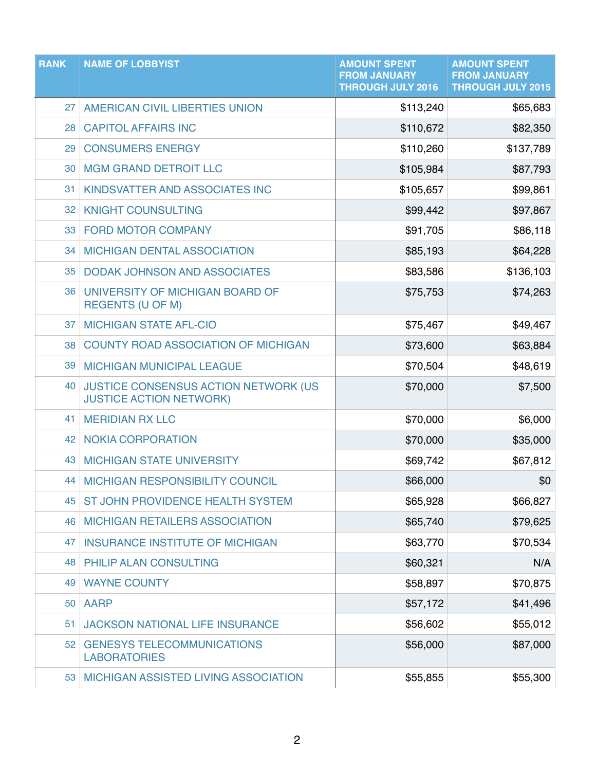| <b>RANK</b> | <b>NAME OF LOBBYIST</b>                                                | <b>AMOUNT SPENT</b><br><b>FROM JANUARY</b><br><b>THROUGH JULY 2016</b> | <b>AMOUNT SPENT</b><br><b>FROM JANUARY</b><br><b>THROUGH JULY 2015</b> |
|-------------|------------------------------------------------------------------------|------------------------------------------------------------------------|------------------------------------------------------------------------|
| 27          | AMERICAN CIVIL LIBERTIES UNION                                         | \$113,240                                                              | \$65,683                                                               |
| 28          | <b>CAPITOL AFFAIRS INC</b>                                             | \$110,672                                                              | \$82,350                                                               |
| 29          | <b>CONSUMERS ENERGY</b>                                                | \$110,260                                                              | \$137,789                                                              |
| 30          | <b>MGM GRAND DETROIT LLC</b>                                           | \$105,984                                                              | \$87,793                                                               |
| 31          | KINDSVATTER AND ASSOCIATES INC                                         | \$105,657                                                              | \$99,861                                                               |
| 32          | <b>KNIGHT COUNSULTING</b>                                              | \$99,442                                                               | \$97,867                                                               |
| 33          | <b>FORD MOTOR COMPANY</b>                                              | \$91,705                                                               | \$86,118                                                               |
| 34          | <b>MICHIGAN DENTAL ASSOCIATION</b>                                     | \$85,193                                                               | \$64,228                                                               |
| 35          | <b>DODAK JOHNSON AND ASSOCIATES</b>                                    | \$83,586                                                               | \$136,103                                                              |
| 36          | UNIVERSITY OF MICHIGAN BOARD OF<br><b>REGENTS (U OF M)</b>             | \$75,753                                                               | \$74,263                                                               |
| 37          | <b>MICHIGAN STATE AFL-CIO</b>                                          | \$75,467                                                               | \$49,467                                                               |
| 38          | <b>COUNTY ROAD ASSOCIATION OF MICHIGAN</b>                             | \$73,600                                                               | \$63,884                                                               |
| 39          | <b>MICHIGAN MUNICIPAL LEAGUE</b>                                       | \$70,504                                                               | \$48,619                                                               |
| 40          | JUSTICE CONSENSUS ACTION NETWORK (US<br><b>JUSTICE ACTION NETWORK)</b> | \$70,000                                                               | \$7,500                                                                |
| 41          | <b>MERIDIAN RX LLC</b>                                                 | \$70,000                                                               | \$6,000                                                                |
| 42          | <b>NOKIA CORPORATION</b>                                               | \$70,000                                                               | \$35,000                                                               |
| 43          | <b>MICHIGAN STATE UNIVERSITY</b>                                       | \$69,742                                                               | \$67,812                                                               |
|             | 44 MICHIGAN RESPONSIBILITY COUNCIL                                     | \$66,000                                                               | \$0                                                                    |
| 45          | ST JOHN PROVIDENCE HEALTH SYSTEM                                       | \$65,928                                                               | \$66,827                                                               |
| 46          | <b>MICHIGAN RETAILERS ASSOCIATION</b>                                  | \$65,740                                                               | \$79,625                                                               |
| 47          | <b>INSURANCE INSTITUTE OF MICHIGAN</b>                                 | \$63,770                                                               | \$70,534                                                               |
| 48          | PHILIP ALAN CONSULTING                                                 | \$60,321                                                               | N/A                                                                    |
| 49          | <b>WAYNE COUNTY</b>                                                    | \$58,897                                                               | \$70,875                                                               |
| 50          | <b>AARP</b>                                                            | \$57,172                                                               | \$41,496                                                               |
| 51          | <b>JACKSON NATIONAL LIFE INSURANCE</b>                                 | \$56,602                                                               | \$55,012                                                               |
| 52          | <b>GENESYS TELECOMMUNICATIONS</b><br><b>LABORATORIES</b>               | \$56,000                                                               | \$87,000                                                               |
|             | 53 MICHIGAN ASSISTED LIVING ASSOCIATION                                | \$55,855                                                               | \$55,300                                                               |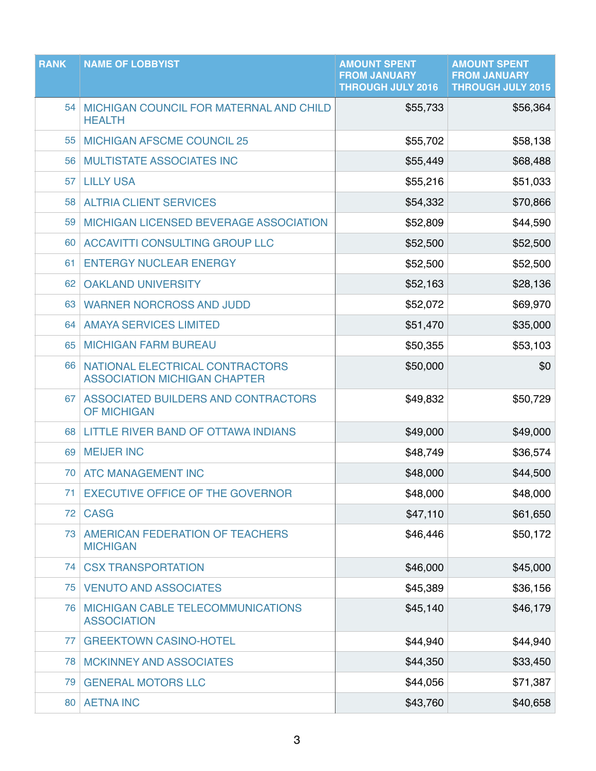| <b>RANK</b> | <b>NAME OF LOBBYIST</b>                                                | <b>AMOUNT SPENT</b><br><b>FROM JANUARY</b><br><b>THROUGH JULY 2016</b> | <b>AMOUNT SPENT</b><br><b>FROM JANUARY</b><br><b>THROUGH JULY 2015</b> |
|-------------|------------------------------------------------------------------------|------------------------------------------------------------------------|------------------------------------------------------------------------|
| 54          | MICHIGAN COUNCIL FOR MATERNAL AND CHILD<br><b>HEALTH</b>               | \$55,733                                                               | \$56,364                                                               |
| 55          | <b>MICHIGAN AFSCME COUNCIL 25</b>                                      | \$55,702                                                               | \$58,138                                                               |
| 56          | <b>MULTISTATE ASSOCIATES INC</b>                                       | \$55,449                                                               | \$68,488                                                               |
| 57          | <b>LILLY USA</b>                                                       | \$55,216                                                               | \$51,033                                                               |
| 58          | <b>ALTRIA CLIENT SERVICES</b>                                          | \$54,332                                                               | \$70,866                                                               |
| 59          | MICHIGAN LICENSED BEVERAGE ASSOCIATION                                 | \$52,809                                                               | \$44,590                                                               |
| 60          | ACCAVITTI CONSULTING GROUP LLC                                         | \$52,500                                                               | \$52,500                                                               |
| 61          | <b>ENTERGY NUCLEAR ENERGY</b>                                          | \$52,500                                                               | \$52,500                                                               |
| 62          | <b>OAKLAND UNIVERSITY</b>                                              | \$52,163                                                               | \$28,136                                                               |
| 63          | <b>WARNER NORCROSS AND JUDD</b>                                        | \$52,072                                                               | \$69,970                                                               |
| 64          | <b>AMAYA SERVICES LIMITED</b>                                          | \$51,470                                                               | \$35,000                                                               |
| 65          | <b>MICHIGAN FARM BUREAU</b>                                            | \$50,355                                                               | \$53,103                                                               |
| 66          | NATIONAL ELECTRICAL CONTRACTORS<br><b>ASSOCIATION MICHIGAN CHAPTER</b> | \$50,000                                                               | \$0                                                                    |
| 67          | ASSOCIATED BUILDERS AND CONTRACTORS<br><b>OF MICHIGAN</b>              | \$49,832                                                               | \$50,729                                                               |
| 68          | LITTLE RIVER BAND OF OTTAWA INDIANS                                    | \$49,000                                                               | \$49,000                                                               |
| 69          | <b>MEIJER INC</b>                                                      | \$48,749                                                               | \$36,574                                                               |
| 70          | <b>ATC MANAGEMENT INC</b>                                              | \$48,000                                                               | \$44,500                                                               |
| 71          | <b>EXECUTIVE OFFICE OF THE GOVERNOR</b>                                | \$48,000                                                               | \$48,000                                                               |
| 72          | <b>CASG</b>                                                            | \$47,110                                                               | \$61,650                                                               |
| 73          | AMERICAN FEDERATION OF TEACHERS<br><b>MICHIGAN</b>                     | \$46,446                                                               | \$50,172                                                               |
| 74          | <b>CSX TRANSPORTATION</b>                                              | \$46,000                                                               | \$45,000                                                               |
| 75          | <b>VENUTO AND ASSOCIATES</b>                                           | \$45,389                                                               | \$36,156                                                               |
| 76          | MICHIGAN CABLE TELECOMMUNICATIONS<br><b>ASSOCIATION</b>                | \$45,140                                                               | \$46,179                                                               |
| 77          | <b>GREEKTOWN CASINO-HOTEL</b>                                          | \$44,940                                                               | \$44,940                                                               |
| 78          | <b>MCKINNEY AND ASSOCIATES</b>                                         | \$44,350                                                               | \$33,450                                                               |
| 79          | <b>GENERAL MOTORS LLC</b>                                              | \$44,056                                                               | \$71,387                                                               |
| 80          | <b>AETNA INC</b>                                                       | \$43,760                                                               | \$40,658                                                               |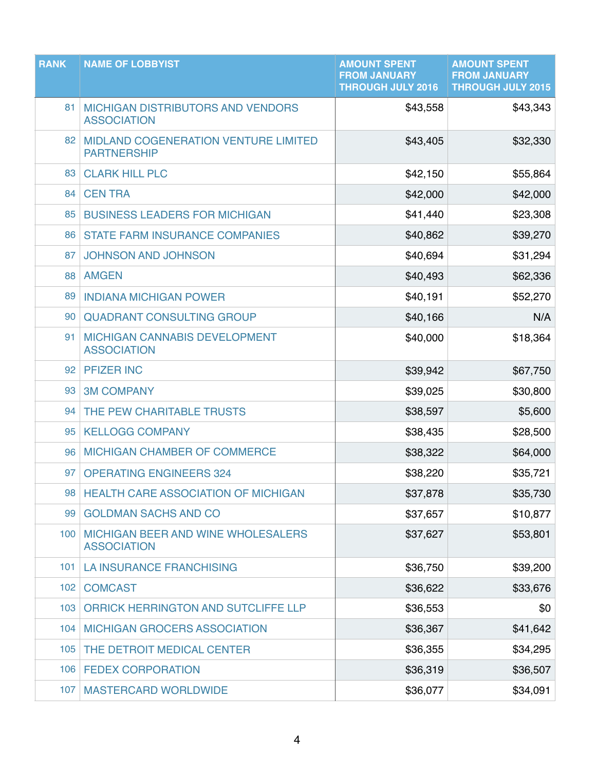| <b>RANK</b>      | <b>NAME OF LOBBYIST</b>                                           | <b>AMOUNT SPENT</b><br><b>FROM JANUARY</b><br><b>THROUGH JULY 2016</b> | <b>AMOUNT SPENT</b><br><b>FROM JANUARY</b><br><b>THROUGH JULY 2015</b> |
|------------------|-------------------------------------------------------------------|------------------------------------------------------------------------|------------------------------------------------------------------------|
| 81               | <b>MICHIGAN DISTRIBUTORS AND VENDORS</b><br><b>ASSOCIATION</b>    | \$43,558                                                               | \$43,343                                                               |
| 82               | <b>MIDLAND COGENERATION VENTURE LIMITED</b><br><b>PARTNERSHIP</b> | \$43,405                                                               | \$32,330                                                               |
| 83               | <b>CLARK HILL PLC</b>                                             | \$42,150                                                               | \$55,864                                                               |
| 84               | <b>CENTRA</b>                                                     | \$42,000                                                               | \$42,000                                                               |
| 85               | <b>BUSINESS LEADERS FOR MICHIGAN</b>                              | \$41,440                                                               | \$23,308                                                               |
| 86               | <b>STATE FARM INSURANCE COMPANIES</b>                             | \$40,862                                                               | \$39,270                                                               |
| 87               | <b>JOHNSON AND JOHNSON</b>                                        | \$40,694                                                               | \$31,294                                                               |
| 88               | <b>AMGEN</b>                                                      | \$40,493                                                               | \$62,336                                                               |
| 89               | <b>INDIANA MICHIGAN POWER</b>                                     | \$40,191                                                               | \$52,270                                                               |
| 90               | <b>QUADRANT CONSULTING GROUP</b>                                  | \$40,166                                                               | N/A                                                                    |
| 91               | <b>MICHIGAN CANNABIS DEVELOPMENT</b><br><b>ASSOCIATION</b>        | \$40,000                                                               | \$18,364                                                               |
| 92               | <b>PFIZER INC</b>                                                 | \$39,942                                                               | \$67,750                                                               |
| 93               | <b>3M COMPANY</b>                                                 | \$39,025                                                               | \$30,800                                                               |
| 94               | THE PEW CHARITABLE TRUSTS                                         | \$38,597                                                               | \$5,600                                                                |
| 95               | <b>KELLOGG COMPANY</b>                                            | \$38,435                                                               | \$28,500                                                               |
| 96               | <b>MICHIGAN CHAMBER OF COMMERCE</b>                               | \$38,322                                                               | \$64,000                                                               |
| 97               | <b>OPERATING ENGINEERS 324</b>                                    | \$38,220                                                               | \$35,721                                                               |
| 98               | <b>HEALTH CARE ASSOCIATION OF MICHIGAN</b>                        | \$37,878                                                               | \$35,730                                                               |
| 99               | <b>GOLDMAN SACHS AND CO</b>                                       | \$37,657                                                               | \$10,877                                                               |
| 100              | <b>MICHIGAN BEER AND WINE WHOLESALERS</b><br><b>ASSOCIATION</b>   | \$37,627                                                               | \$53,801                                                               |
| 101              | <b>LA INSURANCE FRANCHISING</b>                                   | \$36,750                                                               | \$39,200                                                               |
| 102              | <b>COMCAST</b>                                                    | \$36,622                                                               | \$33,676                                                               |
| 103 <sub>1</sub> | ORRICK HERRINGTON AND SUTCLIFFE LLP                               | \$36,553                                                               | \$0                                                                    |
| 104              | <b>MICHIGAN GROCERS ASSOCIATION</b>                               | \$36,367                                                               | \$41,642                                                               |
| 105              | THE DETROIT MEDICAL CENTER                                        | \$36,355                                                               | \$34,295                                                               |
| 106              | <b>FEDEX CORPORATION</b>                                          | \$36,319                                                               | \$36,507                                                               |
| 107              | <b>MASTERCARD WORLDWIDE</b>                                       | \$36,077                                                               | \$34,091                                                               |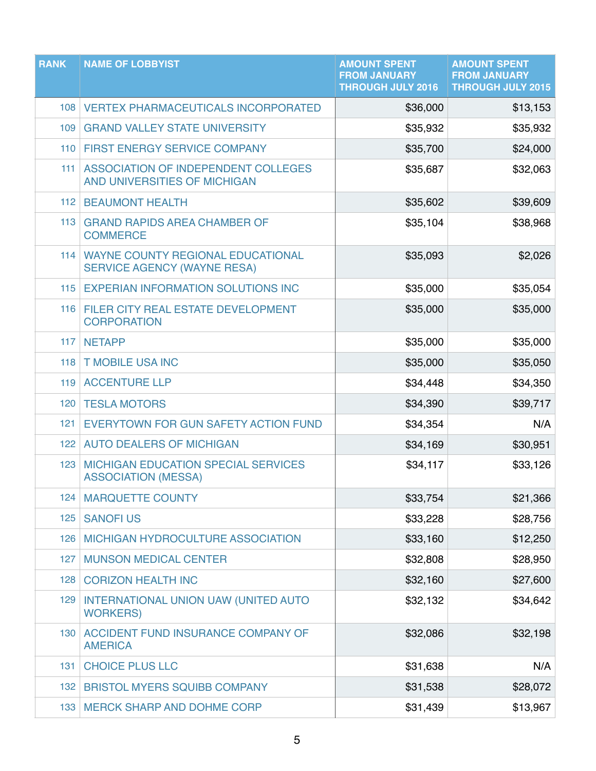| <b>RANK</b> | <b>NAME OF LOBBYIST</b>                                                       | <b>AMOUNT SPENT</b><br><b>FROM JANUARY</b><br><b>THROUGH JULY 2016</b> | <b>AMOUNT SPENT</b><br><b>FROM JANUARY</b><br><b>THROUGH JULY 2015</b> |
|-------------|-------------------------------------------------------------------------------|------------------------------------------------------------------------|------------------------------------------------------------------------|
|             | 108   VERTEX PHARMACEUTICALS INCORPORATED                                     | \$36,000                                                               | \$13,153                                                               |
| 109         | <b>GRAND VALLEY STATE UNIVERSITY</b>                                          | \$35,932                                                               | \$35,932                                                               |
| 110         | FIRST ENERGY SERVICE COMPANY                                                  | \$35,700                                                               | \$24,000                                                               |
| 111         | ASSOCIATION OF INDEPENDENT COLLEGES<br>AND UNIVERSITIES OF MICHIGAN           | \$35,687                                                               | \$32,063                                                               |
| 112         | <b>BEAUMONT HEALTH</b>                                                        | \$35,602                                                               | \$39,609                                                               |
| 113         | <b>GRAND RAPIDS AREA CHAMBER OF</b><br><b>COMMERCE</b>                        | \$35,104                                                               | \$38,968                                                               |
|             | 114   WAYNE COUNTY REGIONAL EDUCATIONAL<br><b>SERVICE AGENCY (WAYNE RESA)</b> | \$35,093                                                               | \$2,026                                                                |
| 115         | <b>EXPERIAN INFORMATION SOLUTIONS INC</b>                                     | \$35,000                                                               | \$35,054                                                               |
|             | 116 FILER CITY REAL ESTATE DEVELOPMENT<br><b>CORPORATION</b>                  | \$35,000                                                               | \$35,000                                                               |
| 117         | <b>NETAPP</b>                                                                 | \$35,000                                                               | \$35,000                                                               |
| 118         | <b>T MOBILE USA INC</b>                                                       | \$35,000                                                               | \$35,050                                                               |
| 119         | <b>ACCENTURE LLP</b>                                                          | \$34,448                                                               | \$34,350                                                               |
| 120         | <b>TESLA MOTORS</b>                                                           | \$34,390                                                               | \$39,717                                                               |
| 121         | EVERYTOWN FOR GUN SAFETY ACTION FUND                                          | \$34,354                                                               | N/A                                                                    |
| 122         | <b>AUTO DEALERS OF MICHIGAN</b>                                               | \$34,169                                                               | \$30,951                                                               |
| 123         | <b>MICHIGAN EDUCATION SPECIAL SERVICES</b><br><b>ASSOCIATION (MESSA)</b>      | \$34,117                                                               | \$33,126                                                               |
| 124         | <b>MARQUETTE COUNTY</b>                                                       | \$33,754                                                               | \$21,366                                                               |
| 125         | <b>SANOFIUS</b>                                                               | \$33,228                                                               | \$28,756                                                               |
| 126         | <b>MICHIGAN HYDROCULTURE ASSOCIATION</b>                                      | \$33,160                                                               | \$12,250                                                               |
| 127         | <b>MUNSON MEDICAL CENTER</b>                                                  | \$32,808                                                               | \$28,950                                                               |
| 128         | <b>CORIZON HEALTH INC</b>                                                     | \$32,160                                                               | \$27,600                                                               |
| 129         | <b>INTERNATIONAL UNION UAW (UNITED AUTO)</b><br><b>WORKERS)</b>               | \$32,132                                                               | \$34,642                                                               |
| 130         | ACCIDENT FUND INSURANCE COMPANY OF<br><b>AMERICA</b>                          | \$32,086                                                               | \$32,198                                                               |
| 131         | <b>CHOICE PLUS LLC</b>                                                        | \$31,638                                                               | N/A                                                                    |
| 132         | <b>BRISTOL MYERS SQUIBB COMPANY</b>                                           | \$31,538                                                               | \$28,072                                                               |
|             | 133   MERCK SHARP AND DOHME CORP                                              | \$31,439                                                               | \$13,967                                                               |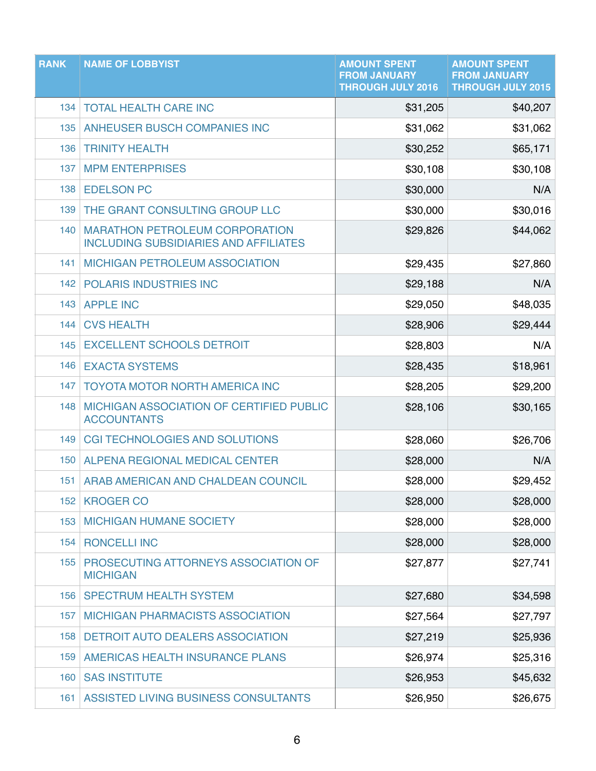| <b>RANK</b> | <b>NAME OF LOBBYIST</b>                                                               | <b>AMOUNT SPENT</b><br><b>FROM JANUARY</b><br><b>THROUGH JULY 2016</b> | <b>AMOUNT SPENT</b><br><b>FROM JANUARY</b><br><b>THROUGH JULY 2015</b> |
|-------------|---------------------------------------------------------------------------------------|------------------------------------------------------------------------|------------------------------------------------------------------------|
| 134         | <b>TOTAL HEALTH CARE INC</b>                                                          | \$31,205                                                               | \$40,207                                                               |
| 135         | ANHEUSER BUSCH COMPANIES INC                                                          | \$31,062                                                               | \$31,062                                                               |
| 136         | <b>TRINITY HEALTH</b>                                                                 | \$30,252                                                               | \$65,171                                                               |
| 137         | <b>MPM ENTERPRISES</b>                                                                | \$30,108                                                               | \$30,108                                                               |
| 138         | <b>EDELSON PC</b>                                                                     | \$30,000                                                               | N/A                                                                    |
| 139         | THE GRANT CONSULTING GROUP LLC                                                        | \$30,000                                                               | \$30,016                                                               |
| 140         | <b>MARATHON PETROLEUM CORPORATION</b><br><b>INCLUDING SUBSIDIARIES AND AFFILIATES</b> | \$29,826                                                               | \$44,062                                                               |
| 141         | <b>MICHIGAN PETROLEUM ASSOCIATION</b>                                                 | \$29,435                                                               | \$27,860                                                               |
|             | <b>142 POLARIS INDUSTRIES INC</b>                                                     | \$29,188                                                               | N/A                                                                    |
| 143         | <b>APPLE INC</b>                                                                      | \$29,050                                                               | \$48,035                                                               |
| 144         | <b>CVS HEALTH</b>                                                                     | \$28,906                                                               | \$29,444                                                               |
| 145         | <b>EXCELLENT SCHOOLS DETROIT</b>                                                      | \$28,803                                                               | N/A                                                                    |
| 146         | <b>EXACTA SYSTEMS</b>                                                                 | \$28,435                                                               | \$18,961                                                               |
| 147         | <b>TOYOTA MOTOR NORTH AMERICA INC</b>                                                 | \$28,205                                                               | \$29,200                                                               |
| 148         | MICHIGAN ASSOCIATION OF CERTIFIED PUBLIC<br><b>ACCOUNTANTS</b>                        | \$28,106                                                               | \$30,165                                                               |
| 149         | <b>CGI TECHNOLOGIES AND SOLUTIONS</b>                                                 | \$28,060                                                               | \$26,706                                                               |
| 150         | ALPENA REGIONAL MEDICAL CENTER                                                        | \$28,000                                                               | N/A                                                                    |
| 151         | ARAB AMERICAN AND CHALDEAN COUNCIL                                                    | \$28,000                                                               | \$29,452                                                               |
| 152         | <b>KROGER CO</b>                                                                      | \$28,000                                                               | \$28,000                                                               |
| 153         | <b>MICHIGAN HUMANE SOCIETY</b>                                                        | \$28,000                                                               | \$28,000                                                               |
| 154         | <b>RONCELLI INC</b>                                                                   | \$28,000                                                               | \$28,000                                                               |
| 155         | PROSECUTING ATTORNEYS ASSOCIATION OF<br><b>MICHIGAN</b>                               | \$27,877                                                               | \$27,741                                                               |
| 156         | <b>SPECTRUM HEALTH SYSTEM</b>                                                         | \$27,680                                                               | \$34,598                                                               |
| 157         | <b>MICHIGAN PHARMACISTS ASSOCIATION</b>                                               | \$27,564                                                               | \$27,797                                                               |
| 158         | <b>DETROIT AUTO DEALERS ASSOCIATION</b>                                               | \$27,219                                                               | \$25,936                                                               |
| 159         | AMERICAS HEALTH INSURANCE PLANS                                                       | \$26,974                                                               | \$25,316                                                               |
| 160         | <b>SAS INSTITUTE</b>                                                                  | \$26,953                                                               | \$45,632                                                               |
| 161         | ASSISTED LIVING BUSINESS CONSULTANTS                                                  | \$26,950                                                               | \$26,675                                                               |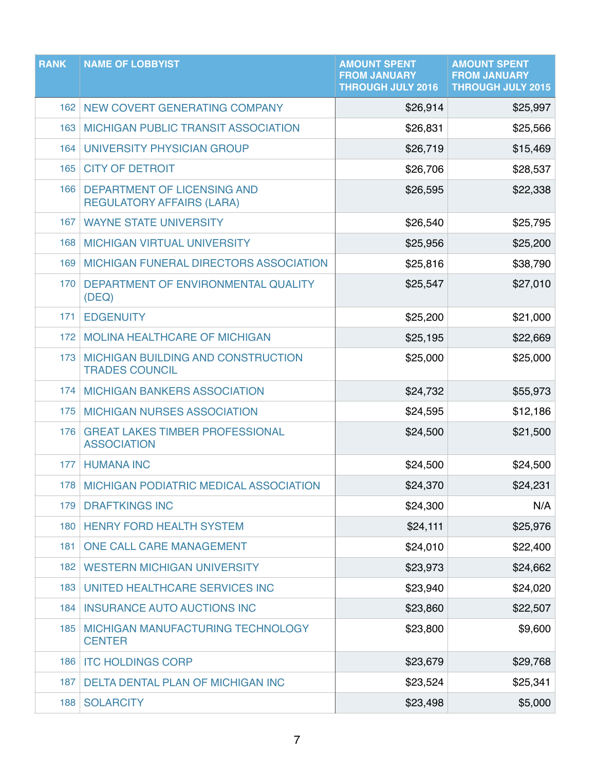| <b>RANK</b>      | <b>NAME OF LOBBYIST</b>                                            | <b>AMOUNT SPENT</b><br><b>FROM JANUARY</b><br><b>THROUGH JULY 2016</b> | <b>AMOUNT SPENT</b><br><b>FROM JANUARY</b><br><b>THROUGH JULY 2015</b> |
|------------------|--------------------------------------------------------------------|------------------------------------------------------------------------|------------------------------------------------------------------------|
| 162              | NEW COVERT GENERATING COMPANY                                      | \$26,914                                                               | \$25,997                                                               |
| 163              | <b>MICHIGAN PUBLIC TRANSIT ASSOCIATION</b>                         | \$26,831                                                               | \$25,566                                                               |
| 164              | UNIVERSITY PHYSICIAN GROUP                                         | \$26,719                                                               | \$15,469                                                               |
| 165              | <b>CITY OF DETROIT</b>                                             | \$26,706                                                               | \$28,537                                                               |
| 166              | DEPARTMENT OF LICENSING AND<br><b>REGULATORY AFFAIRS (LARA)</b>    | \$26,595                                                               | \$22,338                                                               |
| 167              | <b>WAYNE STATE UNIVERSITY</b>                                      | \$26,540                                                               | \$25,795                                                               |
| 168              | <b>MICHIGAN VIRTUAL UNIVERSITY</b>                                 | \$25,956                                                               | \$25,200                                                               |
| 169              | MICHIGAN FUNERAL DIRECTORS ASSOCIATION                             | \$25,816                                                               | \$38,790                                                               |
| 170              | DEPARTMENT OF ENVIRONMENTAL QUALITY<br>(DEQ)                       | \$25,547                                                               | \$27,010                                                               |
| 171              | <b>EDGENUITY</b>                                                   | \$25,200                                                               | \$21,000                                                               |
| 172 <sup>1</sup> | <b>MOLINA HEALTHCARE OF MICHIGAN</b>                               | \$25,195                                                               | \$22,669                                                               |
| 173              | <b>MICHIGAN BUILDING AND CONSTRUCTION</b><br><b>TRADES COUNCIL</b> | \$25,000                                                               | \$25,000                                                               |
| 174              | <b>MICHIGAN BANKERS ASSOCIATION</b>                                | \$24,732                                                               | \$55,973                                                               |
| 175              | <b>MICHIGAN NURSES ASSOCIATION</b>                                 | \$24,595                                                               | \$12,186                                                               |
| 176              | <b>GREAT LAKES TIMBER PROFESSIONAL</b><br><b>ASSOCIATION</b>       | \$24,500                                                               | \$21,500                                                               |
| 177              | <b>HUMANA INC</b>                                                  | \$24,500                                                               | \$24,500                                                               |
|                  | 178 MICHIGAN PODIATRIC MEDICAL ASSOCIATION                         | \$24,370                                                               | \$24,231                                                               |
| 179              | <b>DRAFTKINGS INC</b>                                              | \$24,300                                                               | N/A                                                                    |
| 180              | <b>HENRY FORD HEALTH SYSTEM</b>                                    | \$24,111                                                               | \$25,976                                                               |
| 181              | ONE CALL CARE MANAGEMENT                                           | \$24,010                                                               | \$22,400                                                               |
| 182              | <b>WESTERN MICHIGAN UNIVERSITY</b>                                 | \$23,973                                                               | \$24,662                                                               |
| 183              | UNITED HEALTHCARE SERVICES INC                                     | \$23,940                                                               | \$24,020                                                               |
| 184              | <b>INSURANCE AUTO AUCTIONS INC</b>                                 | \$23,860                                                               | \$22,507                                                               |
| 185              | MICHIGAN MANUFACTURING TECHNOLOGY<br><b>CENTER</b>                 | \$23,800                                                               | \$9,600                                                                |
| 186              | <b>ITC HOLDINGS CORP</b>                                           | \$23,679                                                               | \$29,768                                                               |
| 187              | <b>DELTA DENTAL PLAN OF MICHIGAN INC</b>                           | \$23,524                                                               | \$25,341                                                               |
| 188              | <b>SOLARCITY</b>                                                   | \$23,498                                                               | \$5,000                                                                |